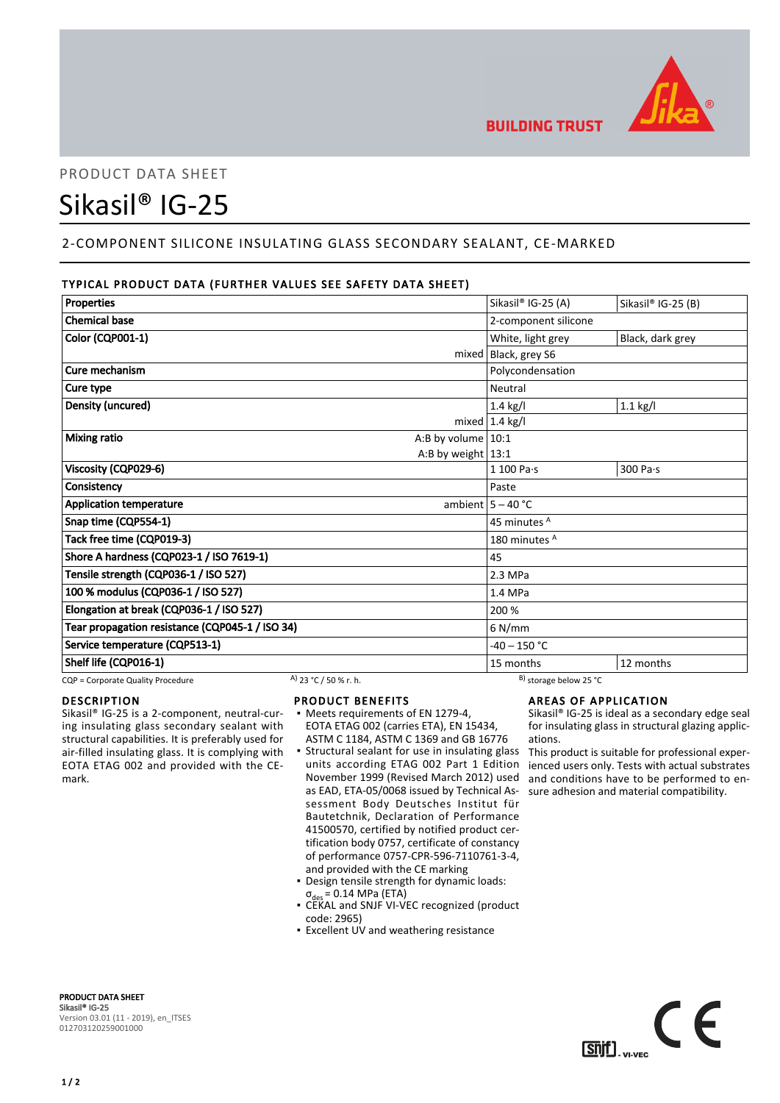

# PRODUCT DATA SHEET

# Sikasil® IG-25

# 2-COMPONENT SILICONE INSULATING GLASS SECONDARY SEALANT, CE-MARKED

# TYPICAL PRODUCT DATA (FURTHER VALUES SEE SAFETY DATA SHEET)

| <b>Properties</b>                               |                       |                          | Sikasil® IG-25 (A)           | Sikasil® IG-25 (B) |
|-------------------------------------------------|-----------------------|--------------------------|------------------------------|--------------------|
| <b>Chemical base</b>                            |                       |                          | 2-component silicone         |                    |
| Color (CQP001-1)                                |                       |                          | White, light grey            | Black, dark grey   |
|                                                 |                       |                          | mixed   Black, grey S6       |                    |
| Cure mechanism                                  |                       |                          | Polycondensation             |                    |
| Cure type                                       |                       |                          | Neutral                      |                    |
| Density (uncured)                               |                       |                          | $1.4$ kg/l                   | $1.1$ kg/l         |
|                                                 |                       |                          | mixed $ 1.4$ kg/l            |                    |
| <b>Mixing ratio</b>                             |                       | A:B by volume $10:1$     |                              |                    |
|                                                 |                       | A:B by weight $13:1$     |                              |                    |
| Viscosity (CQP029-6)                            |                       |                          | $1100$ Pa $\cdot$ s          | 300 Pa·s           |
| Consistency                                     |                       |                          | Paste                        |                    |
| <b>Application temperature</b>                  |                       |                          | ambient $5 - 40$ °C          |                    |
| Snap time (CQP554-1)                            |                       |                          | 45 minutes A                 |                    |
| Tack free time (CQP019-3)                       |                       | 180 minutes <sup>A</sup> |                              |                    |
| Shore A hardness (CQP023-1 / ISO 7619-1)        |                       | 45                       |                              |                    |
| Tensile strength (CQP036-1 / ISO 527)           |                       | 2.3 MPa                  |                              |                    |
| 100 % modulus (CQP036-1 / ISO 527)              |                       | 1.4 MPa                  |                              |                    |
| Elongation at break (CQP036-1 / ISO 527)        |                       | 200 %                    |                              |                    |
| Tear propagation resistance (CQP045-1 / ISO 34) |                       |                          | 6 N/mm                       |                    |
| Service temperature (CQP513-1)                  |                       |                          | $-40 - 150 °C$               |                    |
| Shelf life (CQP016-1)                           |                       |                          | 15 months                    | 12 months          |
| CQP = Corporate Quality Procedure               | A) 23 °C / 50 % r. h. |                          | $^{B}$ ) storage below 25 °C |                    |

# DESCRIPTION

Sikasil® IG-25 is a 2-component, neutral-curing insulating glass secondary sealant with structural capabilities. It is preferably used for air-filled insulating glass. It is complying with EOTA ETAG 002 and provided with the CEmark.

## PRODUCT BENEFITS

- Meets requirements of EN 1279-4, EOTA ETAG 002 (carries ETA), EN 15434, ASTM C 1184, ASTM C 1369 and GB 16776
- **•** Structural sealant for use in insulating glass units according ETAG 002 Part 1 Edition November 1999 (Revised March 2012) used as EAD, ETA-05/0068 issued by Technical Assessment Body Deutsches Institut für Bautetchnik, Declaration of Performance 41500570, certified by notified product certification body 0757, certificate of constancy of performance 0757-CPR-596-7110761-3-4, and provided with the CE marking
- Design tensile strength for dynamic loads:  $\sigma_{\text{des}}$  = 0.14 MPa (ETA) ▪
- CEKAL and SNJF VI-VEC recognized (product code: 2965)
- **Excellent UV and weathering resistance**

# AREAS OF APPLICATION

Sikasil® IG-25 is ideal as a secondary edge seal for insulating glass in structural glazing applications.

This product is suitable for professional experienced users only. Tests with actual substrates and conditions have to be performed to ensure adhesion and material compatibility.



PRODUCT DATA SHEET Sikasil® IG-25 Version 03.01 (11 - 2019), en\_ITSES 012703120259001000